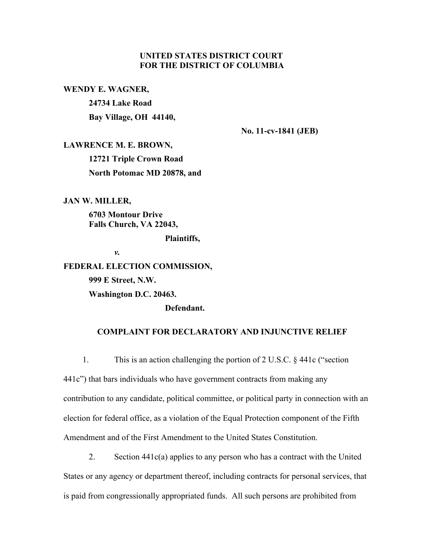# **UNITED STATES DISTRICT COURT FOR THE DISTRICT OF COLUMBIA**

**WENDY E. WAGNER,** 

**24734 Lake Road Bay Village, OH 44140,**

**No. 11-cv-1841 (JEB)**

**LAWRENCE M. E. BROWN,**

**12721 Triple Crown Road North Potomac MD 20878, and**

**JAN W. MILLER,**

**6703 Montour Drive Falls Church, VA 22043,**

**Plaintiffs,**

*v.*

#### **FEDERAL ELECTION COMMISSION,**

**999 E Street, N.W.** 

**Washington D.C. 20463.**

**Defendant.**

## **COMPLAINT FOR DECLARATORY AND INJUNCTIVE RELIEF**

 1. This is an action challenging the portion of 2 U.S.C. § 441c ("section 441c") that bars individuals who have government contracts from making any contribution to any candidate, political committee, or political party in connection with an election for federal office, as a violation of the Equal Protection component of the Fifth Amendment and of the First Amendment to the United States Constitution.

2. Section 441c(a) applies to any person who has a contract with the United States or any agency or department thereof, including contracts for personal services, that is paid from congressionally appropriated funds. All such persons are prohibited from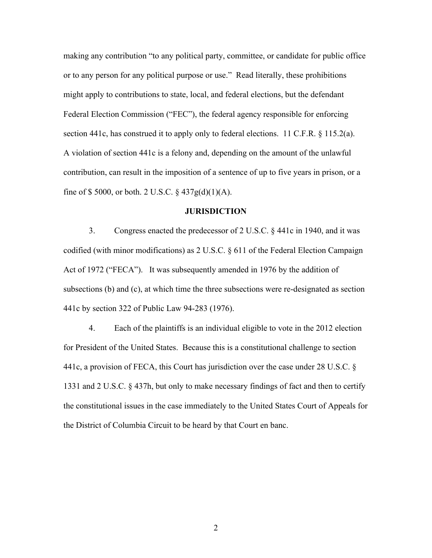making any contribution "to any political party, committee, or candidate for public office or to any person for any political purpose or use." Read literally, these prohibitions might apply to contributions to state, local, and federal elections, but the defendant Federal Election Commission ("FEC"), the federal agency responsible for enforcing section 441c, has construed it to apply only to federal elections. 11 C.F.R. § 115.2(a). A violation of section 441c is a felony and, depending on the amount of the unlawful contribution, can result in the imposition of a sentence of up to five years in prison, or a fine of \$5000, or both. 2 U.S.C.  $\S$  437g(d)(1)(A).

#### **JURISDICTION**

3. Congress enacted the predecessor of 2 U.S.C. § 441c in 1940, and it was codified (with minor modifications) as 2 U.S.C. § 611 of the Federal Election Campaign Act of 1972 ("FECA"). It was subsequently amended in 1976 by the addition of subsections (b) and (c), at which time the three subsections were re-designated as section 441c by section 322 of Public Law 94-283 (1976).

4. Each of the plaintiffs is an individual eligible to vote in the 2012 election for President of the United States. Because this is a constitutional challenge to section 441c, a provision of FECA, this Court has jurisdiction over the case under 28 U.S.C. § 1331 and 2 U.S.C. § 437h, but only to make necessary findings of fact and then to certify the constitutional issues in the case immediately to the United States Court of Appeals for the District of Columbia Circuit to be heard by that Court en banc.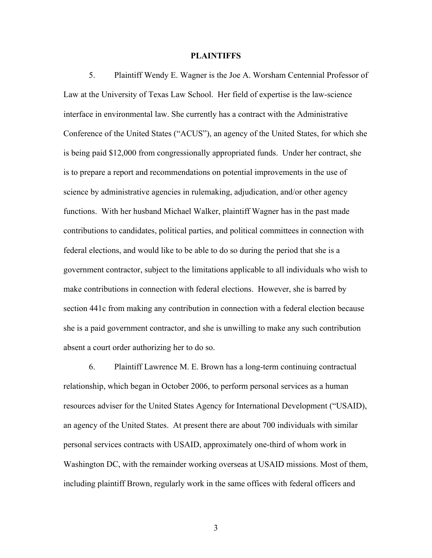#### **PLAINTIFFS**

5. Plaintiff Wendy E. Wagner is the Joe A. Worsham Centennial Professor of Law at the University of Texas Law School. Her field of expertise is the law-science interface in environmental law. She currently has a contract with the Administrative Conference of the United States ("ACUS"), an agency of the United States, for which she is being paid \$12,000 from congressionally appropriated funds. Under her contract, she is to prepare a report and recommendations on potential improvements in the use of science by administrative agencies in rulemaking, adjudication, and/or other agency functions. With her husband Michael Walker, plaintiff Wagner has in the past made contributions to candidates, political parties, and political committees in connection with federal elections, and would like to be able to do so during the period that she is a government contractor, subject to the limitations applicable to all individuals who wish to make contributions in connection with federal elections. However, she is barred by section 441c from making any contribution in connection with a federal election because she is a paid government contractor, and she is unwilling to make any such contribution absent a court order authorizing her to do so.

6. Plaintiff Lawrence M. E. Brown has a long-term continuing contractual relationship, which began in October 2006, to perform personal services as a human resources adviser for the United States Agency for International Development ("USAID), an agency of the United States. At present there are about 700 individuals with similar personal services contracts with USAID, approximately one-third of whom work in Washington DC, with the remainder working overseas at USAID missions. Most of them, including plaintiff Brown, regularly work in the same offices with federal officers and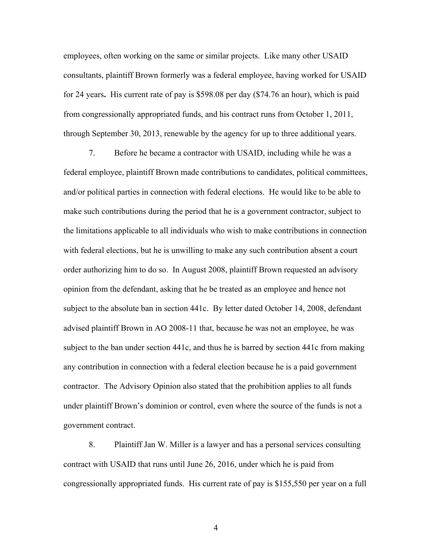employees, often working on the same or similar projects. Like many other USAID consultants, plaintiff Brown formerly was a federal employee, having worked for USAID for 24 years**.** His current rate of pay is \$598.08 per day (\$74.76 an hour), which is paid from congressionally appropriated funds, and his contract runs from October 1, 2011, through September 30, 2013, renewable by the agency for up to three additional years.

7. Before he became a contractor with USAID, including while he was a federal employee, plaintiff Brown made contributions to candidates, political committees, and/or political parties in connection with federal elections. He would like to be able to make such contributions during the period that he is a government contractor, subject to the limitations applicable to all individuals who wish to make contributions in connection with federal elections, but he is unwilling to make any such contribution absent a court order authorizing him to do so. In August 2008, plaintiff Brown requested an advisory opinion from the defendant, asking that he be treated as an employee and hence not subject to the absolute ban in section 441c. By letter dated October 14, 2008, defendant advised plaintiff Brown in AO 2008-11 that, because he was not an employee, he was subject to the ban under section 441c, and thus he is barred by section 441c from making any contribution in connection with a federal election because he is a paid government contractor. The Advisory Opinion also stated that the prohibition applies to all funds under plaintiff Brown's dominion or control, even where the source of the funds is not a government contract.

8. Plaintiff Jan W. Miller is a lawyer and has a personal services consulting contract with USAID that runs until June 26, 2016, under which he is paid from congressionally appropriated funds. His current rate of pay is \$155,550 per year on a full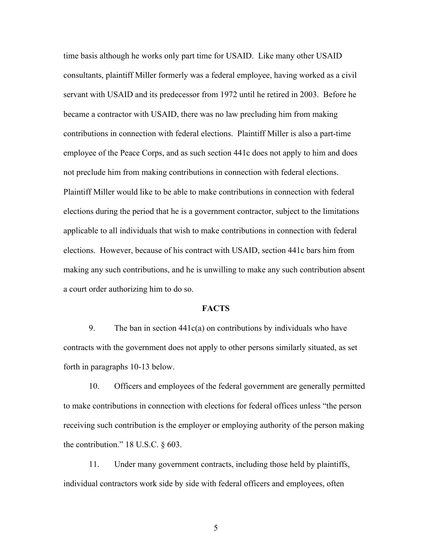time basis although he works only part time for USAID. Like many other USAID consultants, plaintiff Miller formerly was a federal employee, having worked as a civil servant with USAID and its predecessor from 1972 until he retired in 2003. Before he became a contractor with USAID, there was no law precluding him from making contributions in connection with federal elections. Plaintiff Miller is also a part-time employee of the Peace Corps, and as such section 441c does not apply to him and does not preclude him from making contributions in connection with federal elections. Plaintiff Miller would like to be able to make contributions in connection with federal elections during the period that he is a government contractor, subject to the limitations applicable to all individuals that wish to make contributions in connection with federal elections. However, because of his contract with USAID, section 441c bars him from making any such contributions, and he is unwilling to make any such contribution absent a court order authorizing him to do so.

### **FACTS**

9. The ban in section  $441c(a)$  on contributions by individuals who have contracts with the government does not apply to other persons similarly situated, as set forth in paragraphs 10-13 below.

10. Officers and employees of the federal government are generally permitted to make contributions in connection with elections for federal offices unless "the person receiving such contribution is the employer or employing authority of the person making the contribution." 18 U.S.C. § 603.

11. Under many government contracts, including those held by plaintiffs, individual contractors work side by side with federal officers and employees, often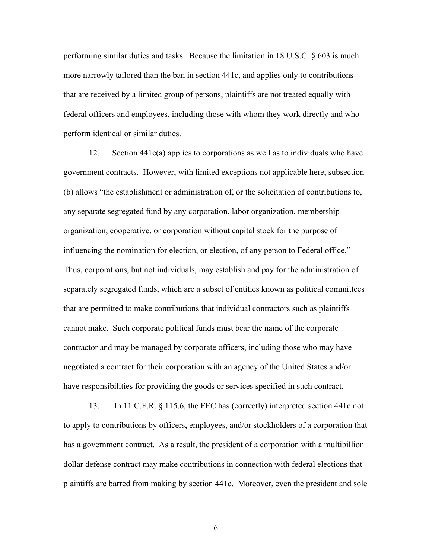performing similar duties and tasks. Because the limitation in 18 U.S.C. § 603 is much more narrowly tailored than the ban in section 441c, and applies only to contributions that are received by a limited group of persons, plaintiffs are not treated equally with federal officers and employees, including those with whom they work directly and who perform identical or similar duties.

12. Section 441c(a) applies to corporations as well as to individuals who have government contracts. However, with limited exceptions not applicable here, subsection (b) allows "the establishment or administration of, or the solicitation of contributions to, any separate segregated fund by any corporation, labor organization, membership organization, cooperative, or corporation without capital stock for the purpose of influencing the nomination for election, or election, of any person to Federal office." Thus, corporations, but not individuals, may establish and pay for the administration of separately segregated funds, which are a subset of entities known as political committees that are permitted to make contributions that individual contractors such as plaintiffs cannot make. Such corporate political funds must bear the name of the corporate contractor and may be managed by corporate officers, including those who may have negotiated a contract for their corporation with an agency of the United States and/or have responsibilities for providing the goods or services specified in such contract.

13. In 11 C.F.R. § 115.6, the FEC has (correctly) interpreted section 441c not to apply to contributions by officers, employees, and/or stockholders of a corporation that has a government contract. As a result, the president of a corporation with a multibillion dollar defense contract may make contributions in connection with federal elections that plaintiffs are barred from making by section 441c. Moreover, even the president and sole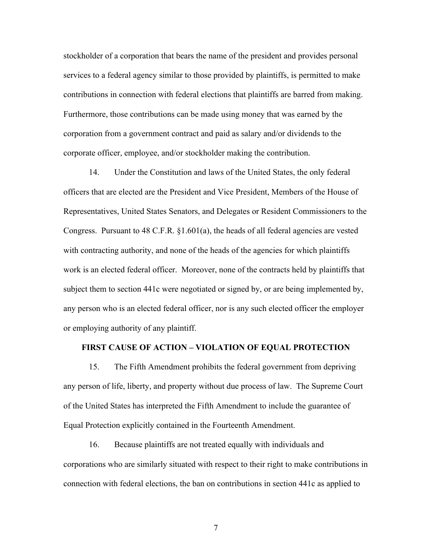stockholder of a corporation that bears the name of the president and provides personal services to a federal agency similar to those provided by plaintiffs, is permitted to make contributions in connection with federal elections that plaintiffs are barred from making. Furthermore, those contributions can be made using money that was earned by the corporation from a government contract and paid as salary and/or dividends to the corporate officer, employee, and/or stockholder making the contribution.

14. Under the Constitution and laws of the United States, the only federal officers that are elected are the President and Vice President, Members of the House of Representatives, United States Senators, and Delegates or Resident Commissioners to the Congress. Pursuant to 48 C.F.R.  $\S1.601(a)$ , the heads of all federal agencies are vested with contracting authority, and none of the heads of the agencies for which plaintiffs work is an elected federal officer. Moreover, none of the contracts held by plaintiffs that subject them to section 441c were negotiated or signed by, or are being implemented by, any person who is an elected federal officer, nor is any such elected officer the employer or employing authority of any plaintiff.

#### **FIRST CAUSE OF ACTION – VIOLATION OF EQUAL PROTECTION**

15. The Fifth Amendment prohibits the federal government from depriving any person of life, liberty, and property without due process of law. The Supreme Court of the United States has interpreted the Fifth Amendment to include the guarantee of Equal Protection explicitly contained in the Fourteenth Amendment.

16. Because plaintiffs are not treated equally with individuals and corporations who are similarly situated with respect to their right to make contributions in connection with federal elections, the ban on contributions in section 441c as applied to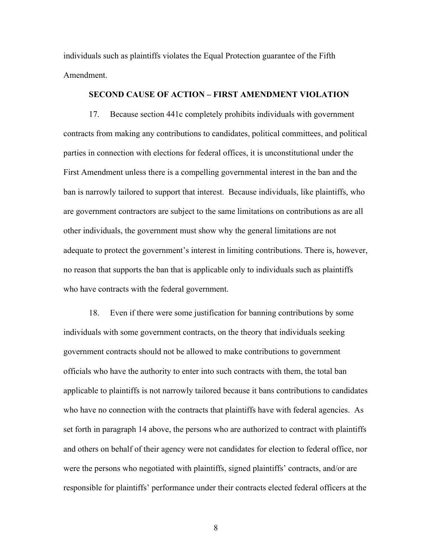individuals such as plaintiffs violates the Equal Protection guarantee of the Fifth Amendment.

## **SECOND CAUSE OF ACTION – FIRST AMENDMENT VIOLATION**

17. Because section 441c completely prohibits individuals with government contracts from making any contributions to candidates, political committees, and political parties in connection with elections for federal offices, it is unconstitutional under the First Amendment unless there is a compelling governmental interest in the ban and the ban is narrowly tailored to support that interest. Because individuals, like plaintiffs, who are government contractors are subject to the same limitations on contributions as are all other individuals, the government must show why the general limitations are not adequate to protect the government's interest in limiting contributions. There is, however, no reason that supports the ban that is applicable only to individuals such as plaintiffs who have contracts with the federal government.

18. Even if there were some justification for banning contributions by some individuals with some government contracts, on the theory that individuals seeking government contracts should not be allowed to make contributions to government officials who have the authority to enter into such contracts with them, the total ban applicable to plaintiffs is not narrowly tailored because it bans contributions to candidates who have no connection with the contracts that plaintiffs have with federal agencies. As set forth in paragraph 14 above, the persons who are authorized to contract with plaintiffs and others on behalf of their agency were not candidates for election to federal office, nor were the persons who negotiated with plaintiffs, signed plaintiffs' contracts, and/or are responsible for plaintiffs' performance under their contracts elected federal officers at the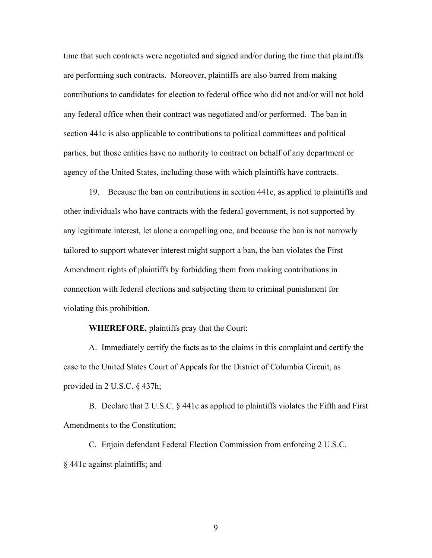time that such contracts were negotiated and signed and/or during the time that plaintiffs are performing such contracts. Moreover, plaintiffs are also barred from making contributions to candidates for election to federal office who did not and/or will not hold any federal office when their contract was negotiated and/or performed. The ban in section 441c is also applicable to contributions to political committees and political parties, but those entities have no authority to contract on behalf of any department or agency of the United States, including those with which plaintiffs have contracts.

19. Because the ban on contributions in section 441c, as applied to plaintiffs and other individuals who have contracts with the federal government, is not supported by any legitimate interest, let alone a compelling one, and because the ban is not narrowly tailored to support whatever interest might support a ban, the ban violates the First Amendment rights of plaintiffs by forbidding them from making contributions in connection with federal elections and subjecting them to criminal punishment for violating this prohibition.

### **WHEREFORE**, plaintiffs pray that the Court:

A. Immediately certify the facts as to the claims in this complaint and certify the case to the United States Court of Appeals for the District of Columbia Circuit, as provided in 2 U.S.C. § 437h;

B. Declare that 2 U.S.C. § 441c as applied to plaintiffs violates the Fifth and First Amendments to the Constitution;

C. Enjoin defendant Federal Election Commission from enforcing 2 U.S.C. § 441c against plaintiffs; and